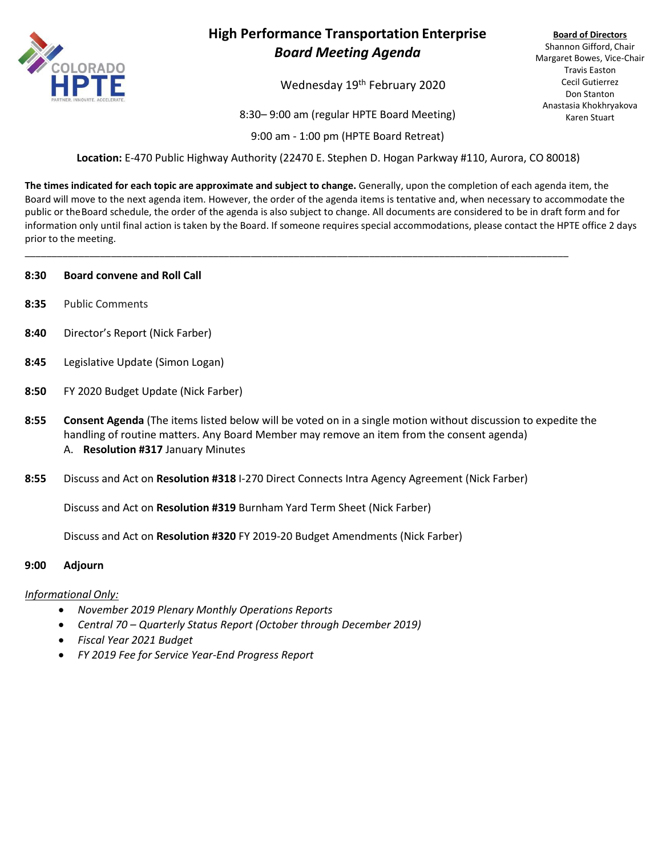

## **High Performance Transportation Enterprise** *Board Meeting Agenda*

Wednesday 19<sup>th</sup> February 2020

8:30– 9:00 am (regular HPTE Board Meeting)

9:00 am - 1:00 pm (HPTE Board Retreat)

**Location:** E-470 Public Highway Authority (22470 E. Stephen D. Hogan Parkway #110, Aurora, CO 80018)

**The times indicated for each topic are approximate and subject to change.** Generally, upon the completion of each agenda item, the Board will move to the next agenda item. However, the order of the agenda items is tentative and, when necessary to accommodate the public or theBoard schedule, the order of the agenda is also subject to change. All documents are considered to be in draft form and for information only until final action is taken by the Board. If someone requires special accommodations, please contact the HPTE office 2 days prior to the meeting.

\_\_\_\_\_\_\_\_\_\_\_\_\_\_\_\_\_\_\_\_\_\_\_\_\_\_\_\_\_\_\_\_\_\_\_\_\_\_\_\_\_\_\_\_\_\_\_\_\_\_\_\_\_\_\_\_\_\_\_\_\_\_\_\_\_\_\_\_\_\_\_\_\_\_\_\_\_\_\_\_\_\_\_\_\_\_\_\_\_\_\_\_\_\_\_\_\_\_\_\_\_

#### **8:30 Board convene and Roll Call**

- **8:35** Public Comments
- **8:40** Director's Report (Nick Farber)
- **8:45** Legislative Update (Simon Logan)
- **8:50** FY 2020 Budget Update (Nick Farber)
- **8:55 Consent Agenda** (The items listed below will be voted on in a single motion without discussion to expedite the handling of routine matters. Any Board Member may remove an item from the consent agenda) A. **Resolution #317** January Minutes
- **8:55** Discuss and Act on **Resolution #318** I-270 Direct Connects Intra Agency Agreement (Nick Farber)

Discuss and Act on **Resolution #319** Burnham Yard Term Sheet (Nick Farber)

Discuss and Act on **Resolution #320** FY 2019-20 Budget Amendments (Nick Farber)

### **9:00 Adjourn**

### *Informational Only:*

- *November 2019 Plenary Monthly Operations Reports*
- *Central 70 – Quarterly Status Report (October through December 2019)*
- *Fiscal Year 2021 Budget*
- *FY 2019 Fee for Service Year-End Progress Report*

**Board of Directors** Shannon Gifford, Chair Margaret Bowes, Vice-Chair Travis Easton Cecil Gutierrez Don Stanton Anastasia Khokhryakova Karen Stuart